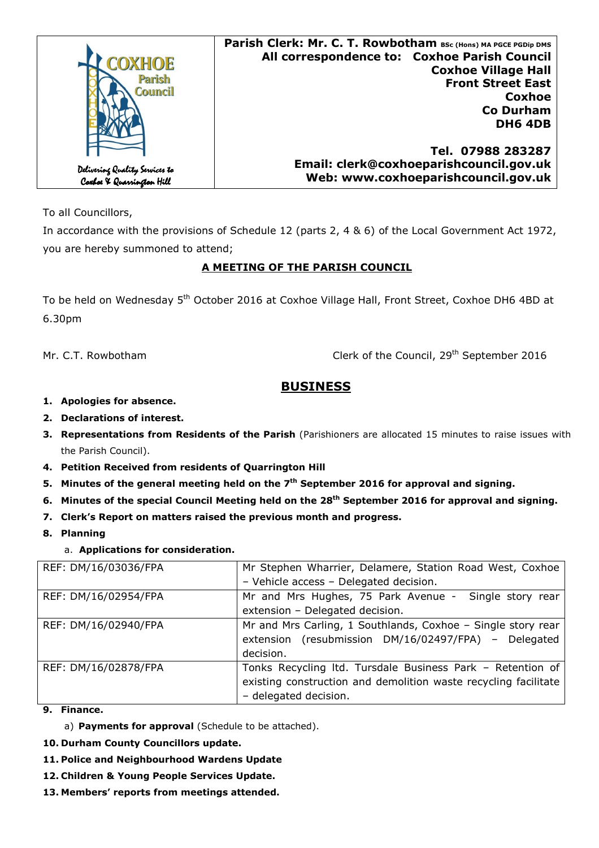| OXHOE<br><b>Parish</b><br><b>Council</b>                    | Parish Clerk: Mr. C. T. Rowbotham BSc (Hons) MA PGCE PGDip DMS<br>All correspondence to: Coxhoe Parish Council<br><b>Coxhoe Village Hall</b><br><b>Front Street East</b><br>Coxhoe<br><b>Co Durham</b><br><b>DH6 4DB</b> |
|-------------------------------------------------------------|--------------------------------------------------------------------------------------------------------------------------------------------------------------------------------------------------------------------------|
| Delivering Quality Services to<br>Coxboe X Quarrington Hill | Tel. 07988 283287<br>Email: clerk@coxhoeparishcouncil.gov.uk<br>Web: www.coxhoeparishcouncil.gov.uk                                                                                                                      |

To all Councillors,

In accordance with the provisions of Schedule 12 (parts 2, 4 & 6) of the Local Government Act 1972, you are hereby summoned to attend;

### **A MEETING OF THE PARISH COUNCIL**

To be held on Wednesday 5<sup>th</sup> October 2016 at Coxhoe Village Hall, Front Street, Coxhoe DH6 4BD at 6.30pm

Mr. C.T. Rowbotham *Clerk of the Council, 29<sup>th</sup> September 2016* 

# **BUSINESS**

- **1. Apologies for absence.**
- **2. Declarations of interest.**
- **3. Representations from Residents of the Parish** (Parishioners are allocated 15 minutes to raise issues with the Parish Council).
- **4. Petition Received from residents of Quarrington Hill**
- **5. Minutes of the general meeting held on the 7th September 2016 for approval and signing.**
- **6. Minutes of the special Council Meeting held on the 28th September 2016 for approval and signing.**
- **7. Clerk's Report on matters raised the previous month and progress.**
- **8. Planning** 
	- a. **Applications for consideration.**

| REF: DM/16/03036/FPA | Mr Stephen Wharrier, Delamere, Station Road West, Coxhoe        |
|----------------------|-----------------------------------------------------------------|
|                      | - Vehicle access - Delegated decision.                          |
| REF: DM/16/02954/FPA | Mr and Mrs Hughes, 75 Park Avenue - Single story rear           |
|                      | extension - Delegated decision.                                 |
| REF: DM/16/02940/FPA | Mr and Mrs Carling, 1 Southlands, Coxhoe - Single story rear    |
|                      | extension (resubmission DM/16/02497/FPA) - Delegated            |
|                      | decision.                                                       |
| REF: DM/16/02878/FPA | Tonks Recycling Itd. Tursdale Business Park - Retention of      |
|                      | existing construction and demolition waste recycling facilitate |
|                      | - delegated decision.                                           |

- **9. Finance.**
	- a) **Payments for approval** (Schedule to be attached).
- **10. Durham County Councillors update.**
- **11. Police and Neighbourhood Wardens Update**
- **12. Children & Young People Services Update.**
- **13. Members' reports from meetings attended.**